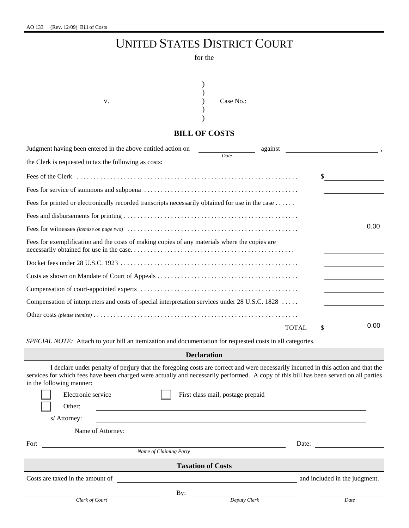# UNITED STATES DISTRICT COURT

#### for the



### **BILL OF COSTS**

| Judgment having been entered in the above entitled action on                                     | against      |      |
|--------------------------------------------------------------------------------------------------|--------------|------|
| Date<br>the Clerk is requested to tax the following as costs:                                    |              |      |
|                                                                                                  |              | \$   |
|                                                                                                  |              |      |
| Fees for printed or electronically recorded transcripts necessarily obtained for use in the case |              |      |
|                                                                                                  |              |      |
|                                                                                                  |              | 0.00 |
| Fees for exemplification and the costs of making copies of any materials where the copies are    |              |      |
|                                                                                                  |              |      |
|                                                                                                  |              |      |
|                                                                                                  |              |      |
| Compensation of interpreters and costs of special interpretation services under 28 U.S.C. 1828   |              |      |
|                                                                                                  |              |      |
|                                                                                                  | <b>TOTAL</b> | 0.00 |

*SPECIAL NOTE:* Attach to your bill an itemization and documentation for requested costs in all categories.

#### **Declaration**

| in the following manner: |                                  |                        |                                   |              | I declare under penalty of perjury that the foregoing costs are correct and were necessarily incurred in this action and that the<br>services for which fees have been charged were actually and necessarily performed. A copy of this bill has been served on all parties |  |  |  |
|--------------------------|----------------------------------|------------------------|-----------------------------------|--------------|----------------------------------------------------------------------------------------------------------------------------------------------------------------------------------------------------------------------------------------------------------------------------|--|--|--|
|                          | Electronic service               |                        | First class mail, postage prepaid |              |                                                                                                                                                                                                                                                                            |  |  |  |
|                          | Other:                           |                        |                                   |              |                                                                                                                                                                                                                                                                            |  |  |  |
|                          | s/ Attorney:                     |                        |                                   |              |                                                                                                                                                                                                                                                                            |  |  |  |
|                          | Name of Attorney:                |                        |                                   |              |                                                                                                                                                                                                                                                                            |  |  |  |
| For:                     |                                  |                        |                                   |              | Date:                                                                                                                                                                                                                                                                      |  |  |  |
|                          |                                  | Name of Claiming Party |                                   |              |                                                                                                                                                                                                                                                                            |  |  |  |
| <b>Taxation of Costs</b> |                                  |                        |                                   |              |                                                                                                                                                                                                                                                                            |  |  |  |
|                          | Costs are taxed in the amount of |                        |                                   |              | and included in the judgment.                                                                                                                                                                                                                                              |  |  |  |
|                          |                                  |                        | By:                               |              |                                                                                                                                                                                                                                                                            |  |  |  |
|                          | Clerk of Court                   |                        |                                   | Deputy Clerk | Date                                                                                                                                                                                                                                                                       |  |  |  |